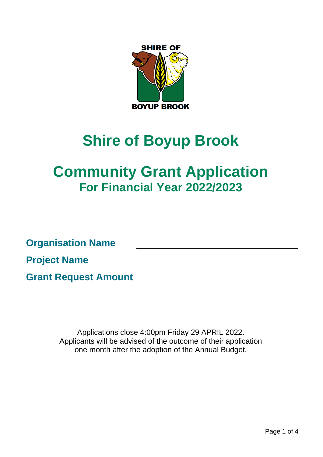

# **Shire of Boyup Brook**

# **Community Grant Application For Financial Year 2022/2023**

**Organisation Name Project Name Grant Request Amount**

> Applications close 4:00pm Friday 29 APRIL 2022. Applicants will be advised of the outcome of their application one month after the adoption of the Annual Budget.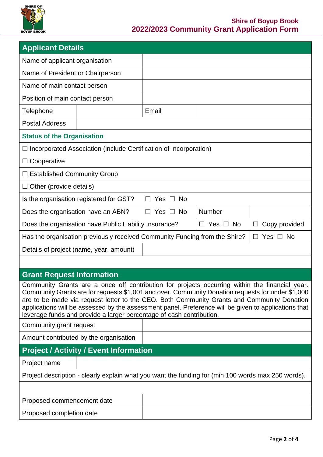

| <b>Applicant Details</b>                                                                                                                                                                                                                                                                                                                                                                                                                                                                                     |                                                                            |                               |                         |                             |  |  |  |
|--------------------------------------------------------------------------------------------------------------------------------------------------------------------------------------------------------------------------------------------------------------------------------------------------------------------------------------------------------------------------------------------------------------------------------------------------------------------------------------------------------------|----------------------------------------------------------------------------|-------------------------------|-------------------------|-----------------------------|--|--|--|
| Name of applicant organisation                                                                                                                                                                                                                                                                                                                                                                                                                                                                               |                                                                            |                               |                         |                             |  |  |  |
| Name of President or Chairperson                                                                                                                                                                                                                                                                                                                                                                                                                                                                             |                                                                            |                               |                         |                             |  |  |  |
| Name of main contact person                                                                                                                                                                                                                                                                                                                                                                                                                                                                                  |                                                                            |                               |                         |                             |  |  |  |
| Position of main contact person                                                                                                                                                                                                                                                                                                                                                                                                                                                                              |                                                                            |                               |                         |                             |  |  |  |
| Telephone                                                                                                                                                                                                                                                                                                                                                                                                                                                                                                    |                                                                            | Email                         |                         |                             |  |  |  |
| <b>Postal Address</b>                                                                                                                                                                                                                                                                                                                                                                                                                                                                                        |                                                                            |                               |                         |                             |  |  |  |
| <b>Status of the Organisation</b>                                                                                                                                                                                                                                                                                                                                                                                                                                                                            |                                                                            |                               |                         |                             |  |  |  |
|                                                                                                                                                                                                                                                                                                                                                                                                                                                                                                              | $\Box$ Incorporated Association (include Certification of Incorporation)   |                               |                         |                             |  |  |  |
| $\Box$ Cooperative                                                                                                                                                                                                                                                                                                                                                                                                                                                                                           |                                                                            |                               |                         |                             |  |  |  |
| $\Box$ Established Community Group                                                                                                                                                                                                                                                                                                                                                                                                                                                                           |                                                                            |                               |                         |                             |  |  |  |
| $\Box$ Other (provide details)                                                                                                                                                                                                                                                                                                                                                                                                                                                                               |                                                                            |                               |                         |                             |  |  |  |
| Is the organisation registered for GST?<br>Yes $\Box$ No<br>$\mathsf{L}$                                                                                                                                                                                                                                                                                                                                                                                                                                     |                                                                            |                               |                         |                             |  |  |  |
| Does the organisation have an ABN?                                                                                                                                                                                                                                                                                                                                                                                                                                                                           |                                                                            | Yes $\Box$ No<br>$\mathsf{L}$ | Number                  |                             |  |  |  |
| Does the organisation have Public Liability Insurance?                                                                                                                                                                                                                                                                                                                                                                                                                                                       |                                                                            |                               | Yes $\Box$ No<br>$\Box$ | Copy provided               |  |  |  |
|                                                                                                                                                                                                                                                                                                                                                                                                                                                                                                              | Has the organisation previously received Community Funding from the Shire? |                               |                         | Yes $\Box$<br>No.<br>$\Box$ |  |  |  |
| Details of project (name, year, amount)                                                                                                                                                                                                                                                                                                                                                                                                                                                                      |                                                                            |                               |                         |                             |  |  |  |
|                                                                                                                                                                                                                                                                                                                                                                                                                                                                                                              |                                                                            |                               |                         |                             |  |  |  |
| <b>Grant Request Information</b>                                                                                                                                                                                                                                                                                                                                                                                                                                                                             |                                                                            |                               |                         |                             |  |  |  |
| Community Grants are a once off contribution for projects occurring within the financial year.<br>Community Grants are for requests \$1,001 and over. Community Donation requests for under \$1,000<br>are to be made via request letter to the CEO. Both Community Grants and Community Donation<br>applications will be assessed by the assessment panel. Preference will be given to applications that<br>leverage funds and provide a larger percentage of cash contribution.<br>Community grant request |                                                                            |                               |                         |                             |  |  |  |
|                                                                                                                                                                                                                                                                                                                                                                                                                                                                                                              |                                                                            |                               |                         |                             |  |  |  |
| Amount contributed by the organisation<br><b>Project / Activity / Event Information</b>                                                                                                                                                                                                                                                                                                                                                                                                                      |                                                                            |                               |                         |                             |  |  |  |
|                                                                                                                                                                                                                                                                                                                                                                                                                                                                                                              |                                                                            |                               |                         |                             |  |  |  |
| Project name                                                                                                                                                                                                                                                                                                                                                                                                                                                                                                 |                                                                            |                               |                         |                             |  |  |  |
| Project description - clearly explain what you want the funding for (min 100 words max 250 words).                                                                                                                                                                                                                                                                                                                                                                                                           |                                                                            |                               |                         |                             |  |  |  |
| Proposed commencement date                                                                                                                                                                                                                                                                                                                                                                                                                                                                                   |                                                                            |                               |                         |                             |  |  |  |
| Proposed completion date                                                                                                                                                                                                                                                                                                                                                                                                                                                                                     |                                                                            |                               |                         |                             |  |  |  |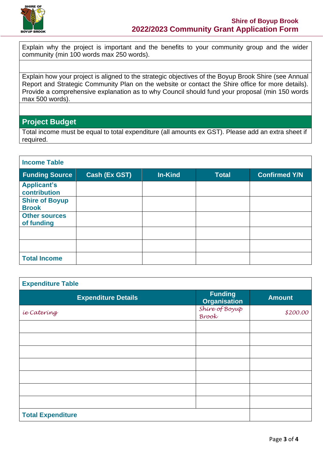

Explain why the project is important and the benefits to your community group and the wider community (min 100 words max 250 words).

Explain how your project is aligned to the strategic objectives of the Boyup Brook Shire (see Annual Report and Strategic Community Plan on the website or contact the Shire office for more details). Provide a comprehensive explanation as to why Council should fund your proposal (min 150 words max 500 words).

## **Project Budget**

Total income must be equal to total expenditure (all amounts ex GST). Please add an extra sheet if required.

| <b>Income Table</b>                   |               |                |              |                      |  |  |
|---------------------------------------|---------------|----------------|--------------|----------------------|--|--|
| <b>Funding Source</b>                 | Cash (Ex GST) | <b>In-Kind</b> | <b>Total</b> | <b>Confirmed Y/N</b> |  |  |
| <b>Applicant's</b><br>contribution    |               |                |              |                      |  |  |
| <b>Shire of Boyup</b><br><b>Brook</b> |               |                |              |                      |  |  |
| <b>Other sources</b><br>of funding    |               |                |              |                      |  |  |
|                                       |               |                |              |                      |  |  |
|                                       |               |                |              |                      |  |  |
| <b>Total Income</b>                   |               |                |              |                      |  |  |

| <b>Expenditure Table</b>   |                                       |               |  |  |  |
|----------------------------|---------------------------------------|---------------|--|--|--|
| <b>Expenditure Details</b> | <b>Funding</b><br><b>Organisation</b> | <b>Amount</b> |  |  |  |
| <i>ie</i> Catering         | Shire of Boyup<br>Brook               | \$200.00      |  |  |  |
|                            |                                       |               |  |  |  |
|                            |                                       |               |  |  |  |
|                            |                                       |               |  |  |  |
|                            |                                       |               |  |  |  |
|                            |                                       |               |  |  |  |
|                            |                                       |               |  |  |  |
|                            |                                       |               |  |  |  |
| <b>Total Expenditure</b>   |                                       |               |  |  |  |